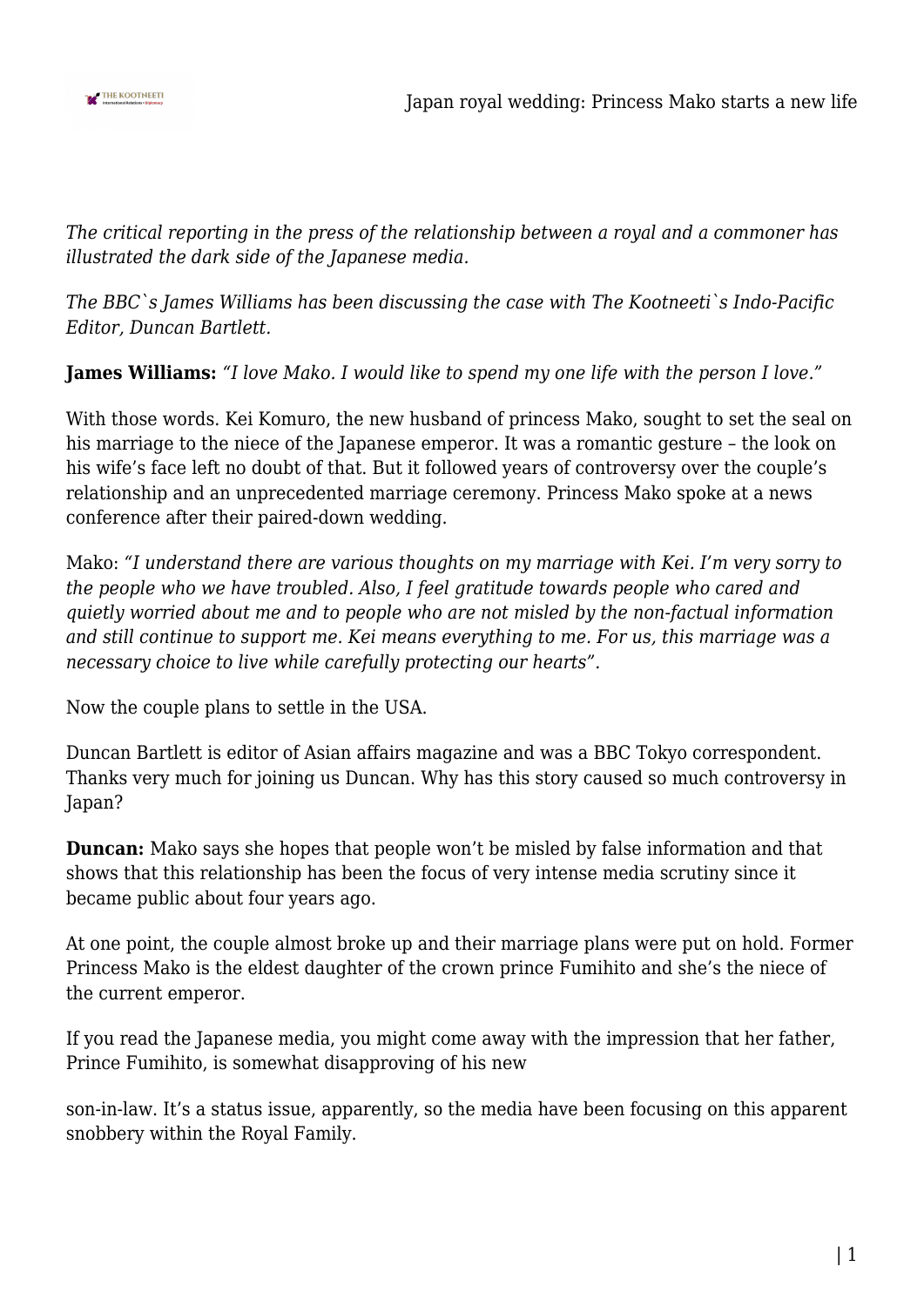

*The critical reporting in the press of the relationship between a royal and a commoner has illustrated the dark side of the Japanese media.*

*The BBC`s James Williams has been discussing the case with The Kootneeti`s Indo-Pacific Editor, Duncan Bartlett.*

**James Williams:** *"I love Mako. I would like to spend my one life with the person I love."*

With those words. Kei Komuro, the new husband of princess Mako, sought to set the seal on his marriage to the niece of the Japanese emperor. It was a romantic gesture – the look on his wife's face left no doubt of that. But it followed years of controversy over the couple's relationship and an unprecedented marriage ceremony. Princess Mako spoke at a news conference after their paired-down wedding.

Mako: *"I understand there are various thoughts on my marriage with Kei. I'm very sorry to the people who we have troubled. Also, I feel gratitude towards people who cared and quietly worried about me and to people who are not misled by the non-factual information and still continue to support me. Kei means everything to me. For us, this marriage was a necessary choice to live while carefully protecting our hearts".*

Now the couple plans to settle in the USA.

Duncan Bartlett is editor of Asian affairs magazine and was a BBC Tokyo correspondent. Thanks very much for joining us Duncan. Why has this story caused so much controversy in Japan?

**Duncan:** Mako says she hopes that people won't be misled by false information and that shows that this relationship has been the focus of very intense media scrutiny since it became public about four years ago.

At one point, the couple almost broke up and their marriage plans were put on hold. Former Princess Mako is the eldest daughter of the crown prince Fumihito and she's the niece of the current emperor.

If you read the Japanese media, you might come away with the impression that her father, Prince Fumihito, is somewhat disapproving of his new

son-in-law. It's a status issue, apparently, so the media have been focusing on this apparent snobbery within the Royal Family.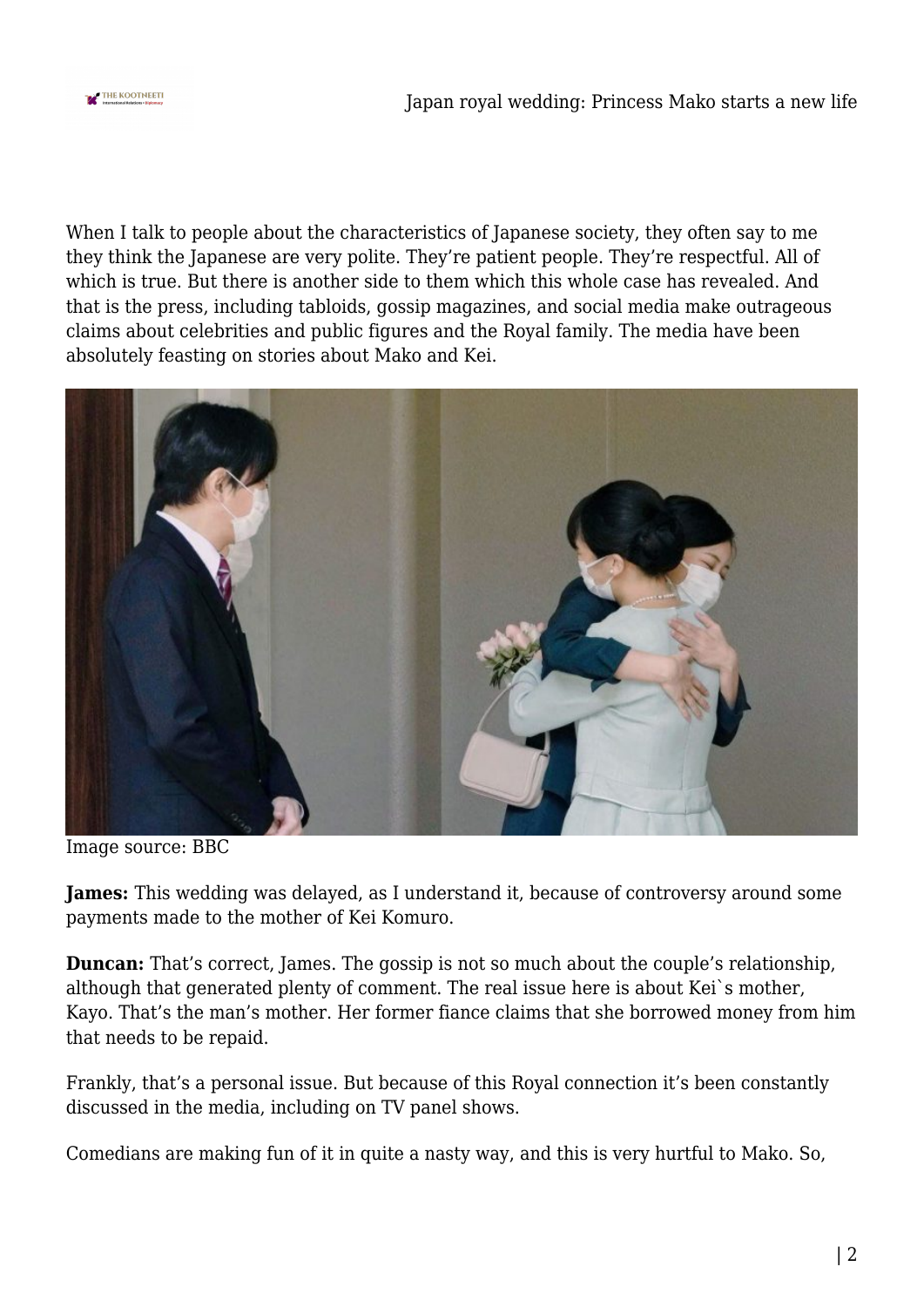

When I talk to people about the characteristics of Japanese society, they often say to me they think the Japanese are very polite. They're patient people. They're respectful. All of which is true. But there is another side to them which this whole case has revealed. And that is the press, including tabloids, gossip magazines, and social media make outrageous claims about celebrities and public figures and the Royal family. The media have been absolutely feasting on stories about Mako and Kei.



Image source: BBC

**James:** This wedding was delayed, as I understand it, because of controversy around some payments made to the mother of Kei Komuro.

**Duncan:** That's correct, James. The gossip is not so much about the couple's relationship, although that generated plenty of comment. The real issue here is about Kei`s mother, Kayo. That's the man's mother. Her former fiance claims that she borrowed money from him that needs to be repaid.

Frankly, that's a personal issue. But because of this Royal connection it's been constantly discussed in the media, including on TV panel shows.

Comedians are making fun of it in quite a nasty way, and this is very hurtful to Mako. So,